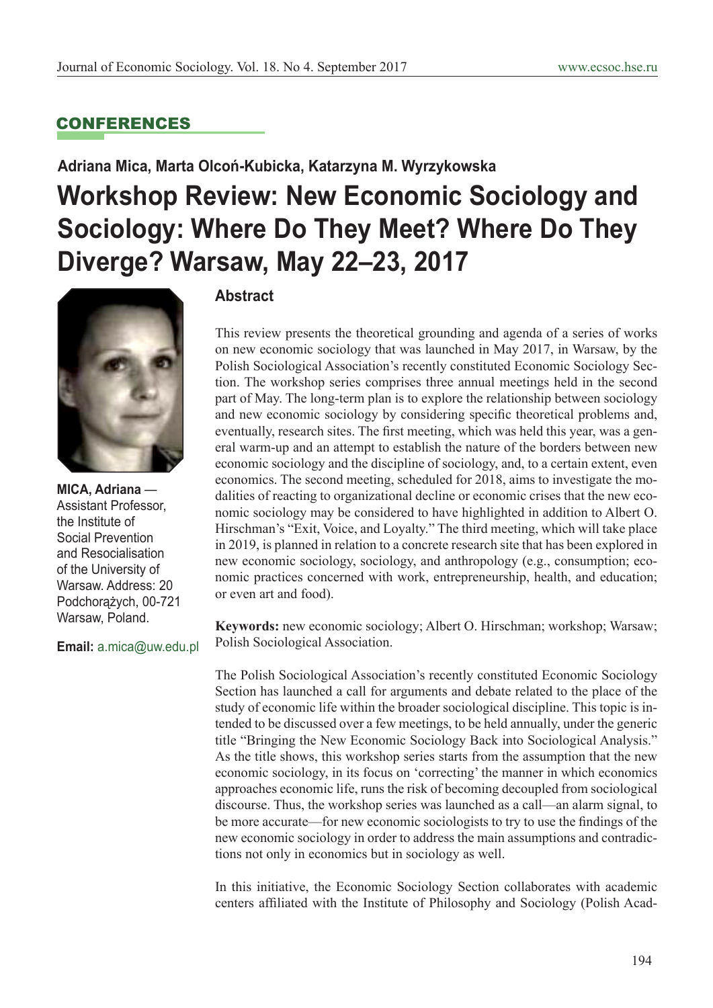## CONFERENCES

# **Adriana Mica, Marta Olcoń-Kubicka, Katarzyna M. Wyrzykowska Workshop Review: New Economic Sociology and Sociology: Where Do They Meet? Where Do They Diverge? Warsaw, May 22–23, 2017**



**MICA, Adriana** — Assistant Professor, the Institute of Social Prevention and Resocialisation of the University of Warsaw. Address: 20 Podchorążych, 00-721 Warsaw, Poland.

**Email:** a.mica@uw.edu.pl

## **Abstract**

This review presents the theoretical grounding and agenda of a series of works on new economic sociology that was launched in May 2017, in Warsaw, by the Polish Sociological Association's recently constituted Economic Sociology Section. The workshop series comprises three annual meetings held in the second part of May. The long-term plan is to explore the relationship between sociology and new economic sociology by considering specific theoretical problems and, eventually, research sites. The first meeting, which was held this year, was a general warm-up and an attempt to establish the nature of the borders between new economic sociology and the discipline of sociology, and, to a certain extent, even economics. The second meeting, scheduled for 2018, aims to investigate the modalities of reacting to organizational decline or economic crises that the new economic sociology may be considered to have highlighted in addition to Albert O. Hirschman's "Exit, Voice, and Loyalty." The third meeting, which will take place in 2019, is planned in relation to a concrete research site that has been explored in new economic sociology, sociology, and anthropology (e.g., consumption; economic practices concerned with work, entrepreneurship, health, and education; or even art and food).

**Keywords:** new economic sociology; Albert O. Hirschman; workshop; Warsaw; Polish Sociological Association.

The Polish Sociological Association's recently constituted Economic Sociology Section has launched a call for arguments and debate related to the place of the study of economic life within the broader sociological discipline. This topic is intended to be discussed over a few meetings, to be held annually, under the generic title "Bringing the New Economic Sociology Back into Sociological Analysis." As the title shows, this workshop series starts from the assumption that the new economic sociology, in its focus on 'correcting' the manner in which economics approaches economic life, runs the risk of becoming decoupled from sociological discourse. Thus, the workshop series was launched as a call—an alarm signal, to be more accurate—for new economic sociologists to try to use the findings of the new economic sociology in order to address the main assumptions and contradictions not only in economics but in sociology as well.

In this initiative, the Economic Sociology Section collaborates with academic centers affiliated with the Institute of Philosophy and Sociology (Polish Acad-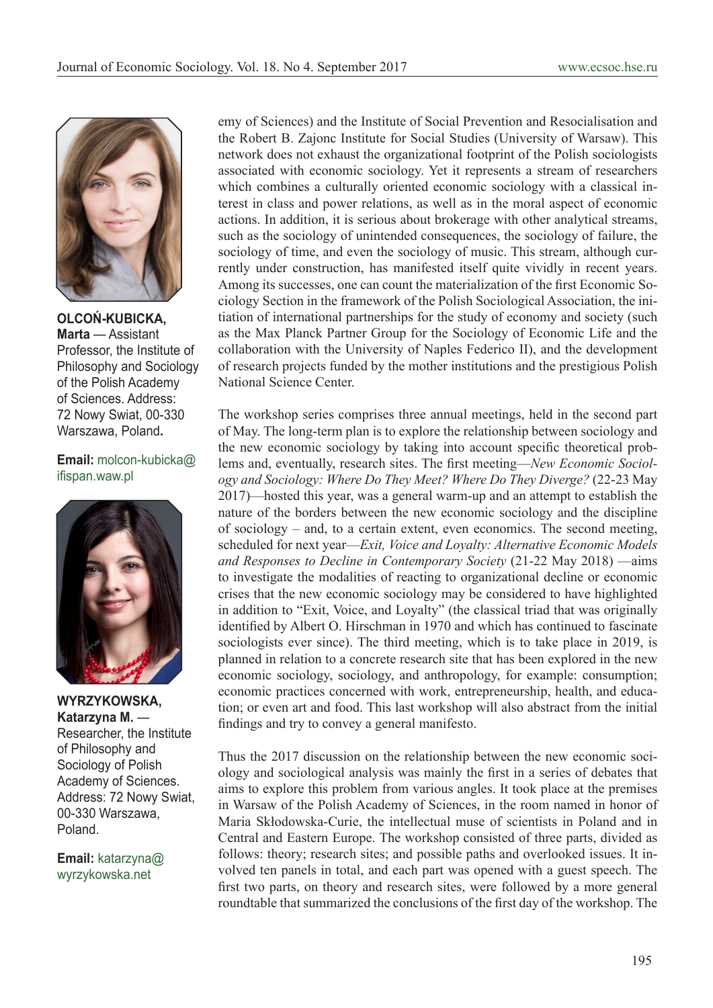

**OLCOŃ-KUBICKA, Marta** — Assistant Professor, the Institute of Philosophy and Sociology of the Polish Academy of Sciences. Address: 72 Nowy Swiat, 00-330 Warszawa, Poland**.**

### **Email:** molcon-kubicka@ ifispan.waw.pl



**WYRZYKOWSKA, Katarzyna M.** — Researcher, the Institute of Philosophy and Sociology of Polish Academy of Sciences. Address: 72 Nowy Swiat, 00-330 Warszawa, Poland.

**Email:** katarzyna@ wyrzykowska.net

emy of Sciences) and the Institute of Social Prevention and Resocialisation and the Robert B. Zajonc Institute for Social Studies (University of Warsaw). This network does not exhaust the organizational footprint of the Polish sociologists associated with economic sociology. Yet it represents a stream of researchers which combines a culturally oriented economic sociology with a classical interest in class and power relations, as well as in the moral aspect of economic actions. In addition, it is serious about brokerage with other analytical streams, such as the sociology of unintended consequences, the sociology of failure, the sociology of time, and even the sociology of music. This stream, although currently under construction, has manifested itself quite vividly in recent years. Among its successes, one can count the materialization of the first Economic Sociology Section in the framework of the Polish Sociological Association, the initiation of international partnerships for the study of economy and society (such as the Max Planck Partner Group for the Sociology of Economic Life and the collaboration with the University of Naples Federico II), and the development of research projects funded by the mother institutions and the prestigious Polish National Science Center.

The workshop series comprises three annual meetings, held in the second part of May. The long-term plan is to explore the relationship between sociology and the new economic sociology by taking into account specific theoretical problems and, eventually, research sites. The first meeting—*New Economic Sociology and Sociology: Where Do They Meet? Where Do They Diverge?* (22-23 May 2017)—hosted this year, was a general warm-up and an attempt to establish the nature of the borders between the new economic sociology and the discipline of sociology – and, to a certain extent, even economics. The second meeting, scheduled for next year—*Exit, Voice and Loyalty: Alternative Economic Models and Responses to Decline in Contemporary Society* (21-22 May 2018) —aims to investigate the modalities of reacting to organizational decline or economic crises that the new economic sociology may be considered to have highlighted in addition to "Exit, Voice, and Loyalty" (the classical triad that was originally identified by Albert O. Hirschman in 1970 and which has continued to fascinate sociologists ever since). The third meeting, which is to take place in 2019, is planned in relation to a concrete research site that has been explored in the new economic sociology, sociology, and anthropology, for example: consumption; economic practices concerned with work, entrepreneurship, health, and education; or even art and food. This last workshop will also abstract from the initial findings and try to convey a general manifesto.

Thus the 2017 discussion on the relationship between the new economic sociology and sociological analysis was mainly the first in a series of debates that aims to explore this problem from various angles. It took place at the premises in Warsaw of the Polish Academy of Sciences, in the room named in honor of Maria Skłodowska-Curie, the intellectual muse of scientists in Poland and in Central and Eastern Europe. The workshop consisted of three parts, divided as follows: theory; research sites; and possible paths and overlooked issues. It involved ten panels in total, and each part was opened with a guest speech. The first two parts, on theory and research sites, were followed by a more general roundtable that summarized the conclusions of the first day of the workshop. The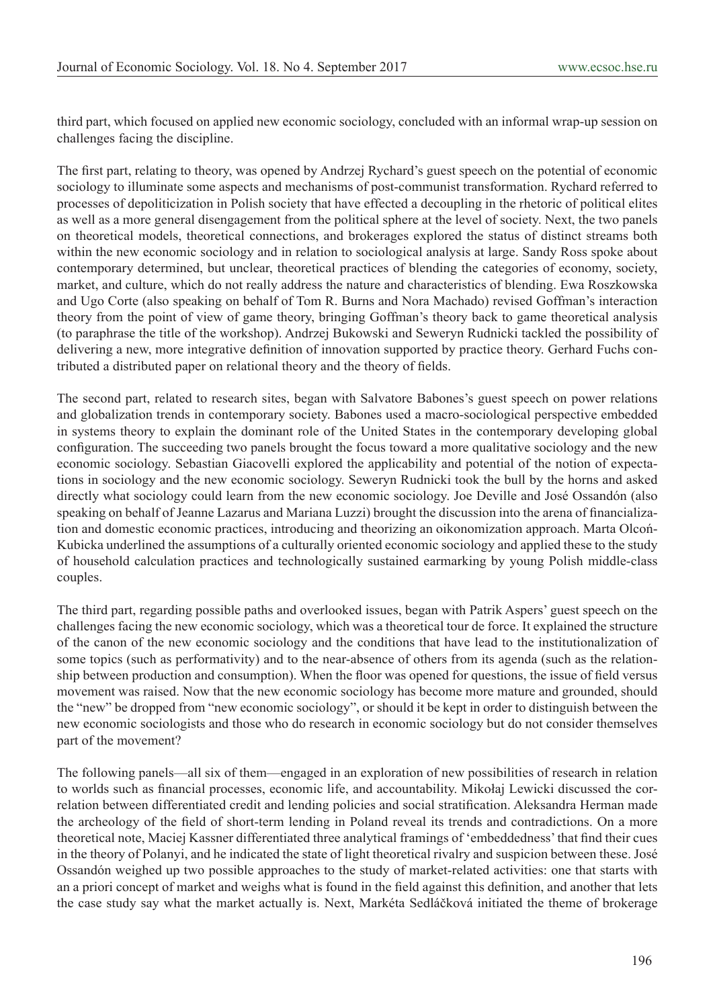third part, which focused on applied new economic sociology, concluded with an informal wrap-up session on challenges facing the discipline.

The first part, relating to theory, was opened by Andrzej Rychard's guest speech on the potential of economic sociology to illuminate some aspects and mechanisms of post-communist transformation. Rychard referred to processes of depoliticization in Polish society that have effected a decoupling in the rhetoric of political elites as well as a more general disengagement from the political sphere at the level of society. Next, the two panels on theoretical models, theoretical connections, and brokerages explored the status of distinct streams both within the new economic sociology and in relation to sociological analysis at large. Sandy Ross spoke about contemporary determined, but unclear, theoretical practices of blending the categories of economy, society, market, and culture, which do not really address the nature and characteristics of blending. Ewa Roszkowska and Ugo Corte (also speaking on behalf of Tom R. Burns and Nora Machado) revised Goffman's interaction theory from the point of view of game theory, bringing Goffman's theory back to game theoretical analysis (to paraphrase the title of the workshop). Andrzej Bukowski and Seweryn Rudnicki tackled the possibility of delivering a new, more integrative definition of innovation supported by practice theory. Gerhard Fuchs contributed a distributed paper on relational theory and the theory of fields.

The second part, related to research sites, began with Salvatore Babones's guest speech on power relations and globalization trends in contemporary society. Babones used a macro-sociological perspective embedded in systems theory to explain the dominant role of the United States in the contemporary developing global configuration. The succeeding two panels brought the focus toward a more qualitative sociology and the new economic sociology. Sebastian Giacovelli explored the applicability and potential of the notion of expectations in sociology and the new economic sociology. Seweryn Rudnicki took the bull by the horns and asked directly what sociology could learn from the new economic sociology. Joe Deville and José Ossandón (also speaking on behalf of Jeanne Lazarus and Mariana Luzzi) brought the discussion into the arena of financialization and domestic economic practices, introducing and theorizing an oikonomization approach. Marta Olcoń-Kubicka underlined the assumptions of a culturally oriented economic sociology and applied these to the study of household calculation practices and technologically sustained earmarking by young Polish middle-class couples.

The third part, regarding possible paths and overlooked issues, began with Patrik Aspers' guest speech on the challenges facing the new economic sociology, which was a theoretical tour de force. It explained the structure of the canon of the new economic sociology and the conditions that have lead to the institutionalization of some topics (such as performativity) and to the near-absence of others from its agenda (such as the relationship between production and consumption). When the floor was opened for questions, the issue of field versus movement was raised. Now that the new economic sociology has become more mature and grounded, should the "new" be dropped from "new economic sociology", or should it be kept in order to distinguish between the new economic sociologists and those who do research in economic sociology but do not consider themselves part of the movement?

The following panels—all six of them—engaged in an exploration of new possibilities of research in relation to worlds such as financial processes, economic life, and accountability. Mikołaj Lewicki discussed the correlation between differentiated credit and lending policies and social stratification. Aleksandra Herman made the archeology of the field of short-term lending in Poland reveal its trends and contradictions. On a more theoretical note, Maciej Kassner differentiated three analytical framings of 'embeddedness' that find their cues in the theory of Polanyi, and he indicated the state of light theoretical rivalry and suspicion between these. José Ossandón weighed up two possible approaches to the study of market-related activities: one that starts with an a priori concept of market and weighs what is found in the field against this definition, and another that lets the case study say what the market actually is. Next, Markéta Sedláčková initiated the theme of brokerage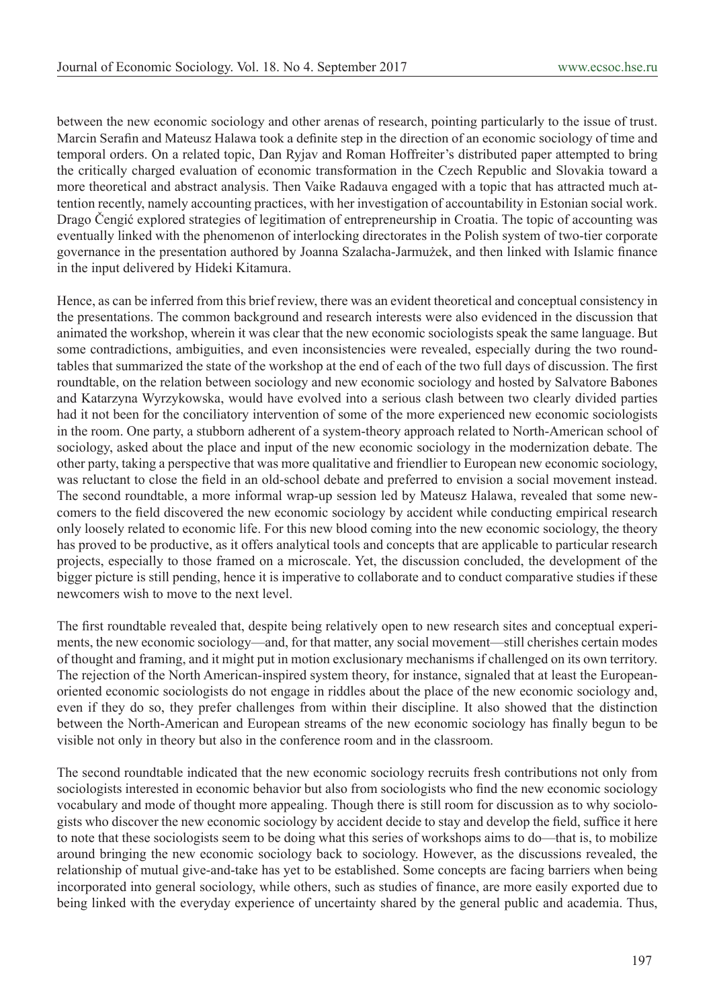between the new economic sociology and other arenas of research, pointing particularly to the issue of trust. Marcin Serafin and Mateusz Halawa took a definite step in the direction of an economic sociology of time and temporal orders. On a related topic, Dan Ryjav and Roman Hoffreiter's distributed paper attempted to bring the critically charged evaluation of economic transformation in the Czech Republic and Slovakia toward a more theoretical and abstract analysis. Then Vaike Radauva engaged with a topic that has attracted much attention recently, namely accounting practices, with her investigation of accountability in Estonian social work. Drago Čengić explored strategies of legitimation of entrepreneurship in Croatia. The topic of accounting was eventually linked with the phenomenon of interlocking directorates in the Polish system of two-tier corporate governance in the presentation authored by Joanna Szalacha-Jarmużek, and then linked with Islamic finance in the input delivered by Hideki Kitamura.

Hence, as can be inferred from this brief review, there was an evident theoretical and conceptual consistency in the presentations. The common background and research interests were also evidenced in the discussion that animated the workshop, wherein it was clear that the new economic sociologists speak the same language. But some contradictions, ambiguities, and even inconsistencies were revealed, especially during the two roundtables that summarized the state of the workshop at the end of each of the two full days of discussion. The first roundtable, on the relation between sociology and new economic sociology and hosted by Salvatore Babones and Katarzyna Wyrzykowska, would have evolved into a serious clash between two clearly divided parties had it not been for the conciliatory intervention of some of the more experienced new economic sociologists in the room. One party, a stubborn adherent of a system-theory approach related to North-American school of sociology, asked about the place and input of the new economic sociology in the modernization debate. The other party, taking a perspective that was more qualitative and friendlier to European new economic sociology, was reluctant to close the field in an old-school debate and preferred to envision a social movement instead. The second roundtable, a more informal wrap-up session led by Mateusz Halawa, revealed that some newcomers to the field discovered the new economic sociology by accident while conducting empirical research only loosely related to economic life. For this new blood coming into the new economic sociology, the theory has proved to be productive, as it offers analytical tools and concepts that are applicable to particular research projects, especially to those framed on a microscale. Yet, the discussion concluded, the development of the bigger picture is still pending, hence it is imperative to collaborate and to conduct comparative studies if these newcomers wish to move to the next level.

The first roundtable revealed that, despite being relatively open to new research sites and conceptual experiments, the new economic sociology—and, for that matter, any social movement—still cherishes certain modes of thought and framing, and it might put in motion exclusionary mechanisms if challenged on its own territory. The rejection of the North American-inspired system theory, for instance, signaled that at least the Europeanoriented economic sociologists do not engage in riddles about the place of the new economic sociology and, even if they do so, they prefer challenges from within their discipline. It also showed that the distinction between the North-American and European streams of the new economic sociology has finally begun to be visible not only in theory but also in the conference room and in the classroom.

The second roundtable indicated that the new economic sociology recruits fresh contributions not only from sociologists interested in economic behavior but also from sociologists who find the new economic sociology vocabulary and mode of thought more appealing. Though there is still room for discussion as to why sociologists who discover the new economic sociology by accident decide to stay and develop the field, suffice it here to note that these sociologists seem to be doing what this series of workshops aims to do—that is, to mobilize around bringing the new economic sociology back to sociology. However, as the discussions revealed, the relationship of mutual give-and-take has yet to be established. Some concepts are facing barriers when being incorporated into general sociology, while others, such as studies of finance, are more easily exported due to being linked with the everyday experience of uncertainty shared by the general public and academia. Thus,